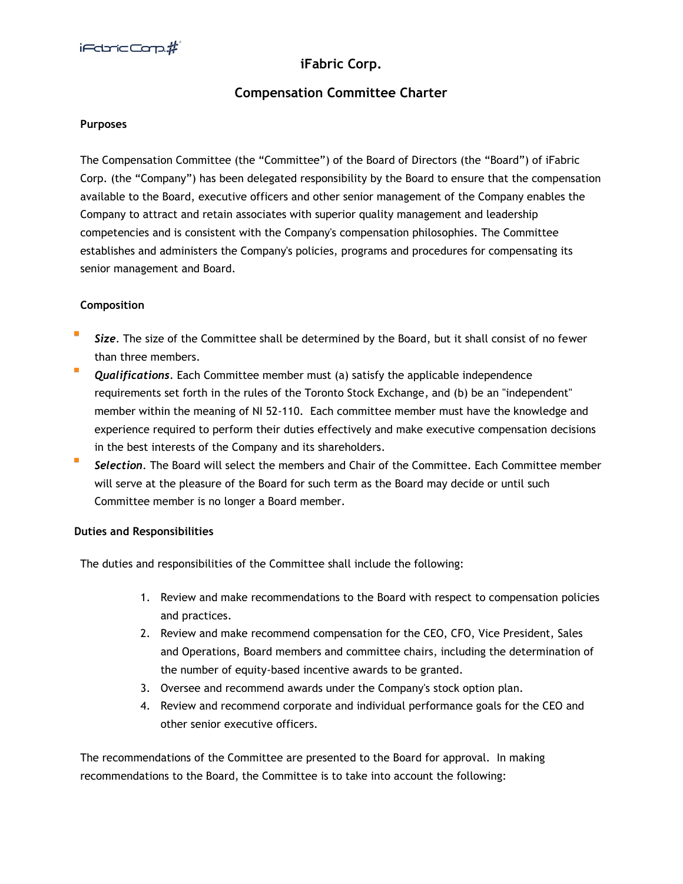# **iFabric Corp.**

## **Compensation Committee Charter**

#### **Purposes**

The Compensation Committee (the "Committee") of the Board of Directors (the "Board") of iFabric Corp. (the "Company") has been delegated responsibility by the Board to ensure that the compensation available to the Board, executive officers and other senior management of the Company enables the Company to attract and retain associates with superior quality management and leadership competencies and is consistent with the Company's compensation philosophies. The Committee establishes and administers the Company's policies, programs and procedures for compensating its senior management and Board.

### **Composition**

- *Size*. The size of the Committee shall be determined by the Board, but it shall consist of no fewer than three members.
- *Qualifications*. Each Committee member must (a) satisfy the applicable independence requirements set forth in the rules of the Toronto Stock Exchange, and (b) be an "independent" member within the meaning of NI 52-110. Each committee member must have the knowledge and experience required to perform their duties effectively and make executive compensation decisions in the best interests of the Company and its shareholders.
- $\overline{\phantom{a}}$ *Selection*. The Board will select the members and Chair of the Committee. Each Committee member will serve at the pleasure of the Board for such term as the Board may decide or until such Committee member is no longer a Board member.

#### **Duties and Responsibilities**

The duties and responsibilities of the Committee shall include the following:

- 1. Review and make recommendations to the Board with respect to compensation policies and practices.
- 2. Review and make recommend compensation for the CEO, CFO, Vice President, Sales and Operations, Board members and committee chairs, including the determination of the number of equity-based incentive awards to be granted.
- 3. Oversee and recommend awards under the Company's stock option plan.
- 4. Review and recommend corporate and individual performance goals for the CEO and other senior executive officers.

The recommendations of the Committee are presented to the Board for approval. In making recommendations to the Board, the Committee is to take into account the following: